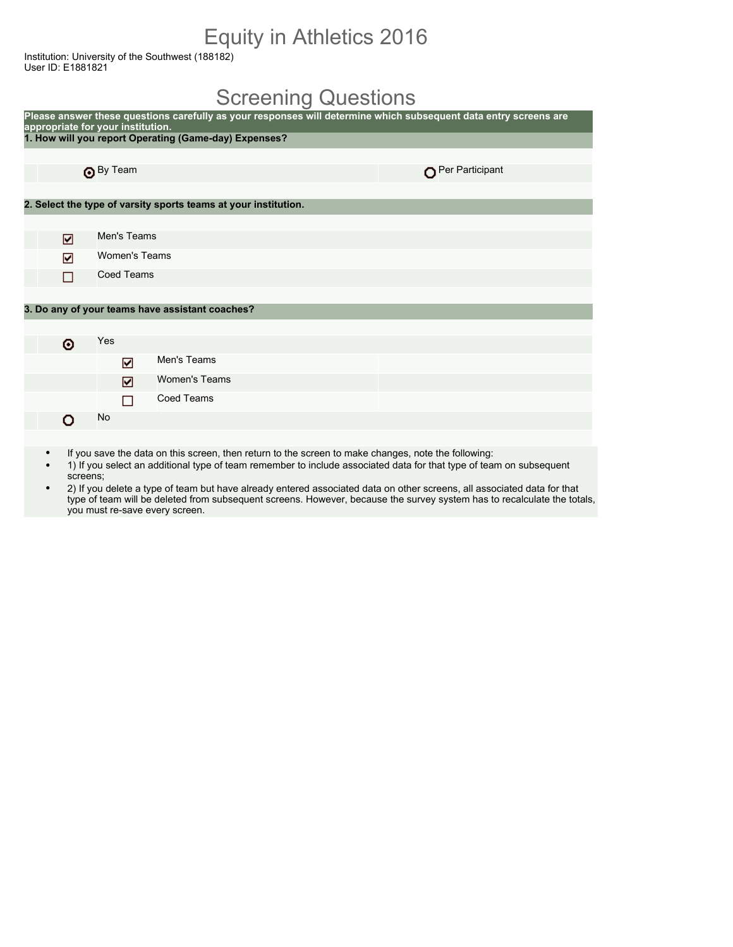## Equity in Athletics 2016

Institution: University of the Southwest (188182) User ID: E1881821

#### Screening Questions

| Please answer these questions carefully as your responses will determine which subsequent data entry screens are<br>appropriate for your institution. |                   |                                                                 |                 |  |  |  |
|-------------------------------------------------------------------------------------------------------------------------------------------------------|-------------------|-----------------------------------------------------------------|-----------------|--|--|--|
|                                                                                                                                                       |                   | 1. How will you report Operating (Game-day) Expenses?           |                 |  |  |  |
|                                                                                                                                                       |                   |                                                                 |                 |  |  |  |
|                                                                                                                                                       | By Team           |                                                                 | Per Participant |  |  |  |
|                                                                                                                                                       |                   |                                                                 |                 |  |  |  |
|                                                                                                                                                       |                   | 2. Select the type of varsity sports teams at your institution. |                 |  |  |  |
|                                                                                                                                                       |                   |                                                                 |                 |  |  |  |
| ☑                                                                                                                                                     | Men's Teams       |                                                                 |                 |  |  |  |
| ☑                                                                                                                                                     | Women's Teams     |                                                                 |                 |  |  |  |
| П                                                                                                                                                     | <b>Coed Teams</b> |                                                                 |                 |  |  |  |
|                                                                                                                                                       |                   |                                                                 |                 |  |  |  |
|                                                                                                                                                       |                   | 3. Do any of your teams have assistant coaches?                 |                 |  |  |  |
|                                                                                                                                                       |                   |                                                                 |                 |  |  |  |
| ۰                                                                                                                                                     | Yes               |                                                                 |                 |  |  |  |
|                                                                                                                                                       | ☑                 | Men's Teams                                                     |                 |  |  |  |
|                                                                                                                                                       | ☑                 | <b>Women's Teams</b>                                            |                 |  |  |  |
|                                                                                                                                                       | □                 | <b>Coed Teams</b>                                               |                 |  |  |  |
| o                                                                                                                                                     | No                |                                                                 |                 |  |  |  |
|                                                                                                                                                       |                   |                                                                 |                 |  |  |  |

- If you save the data on this screen, then return to the screen to make changes, note the following:
- 1) If you select an additional type of team remember to include associated data for that type of team on subsequent screens;
- 2) If you delete a type of team but have already entered associated data on other screens, all associated data for that type of team will be deleted from subsequent screens. However, because the survey system has to recalculate the totals, you must re-save every screen.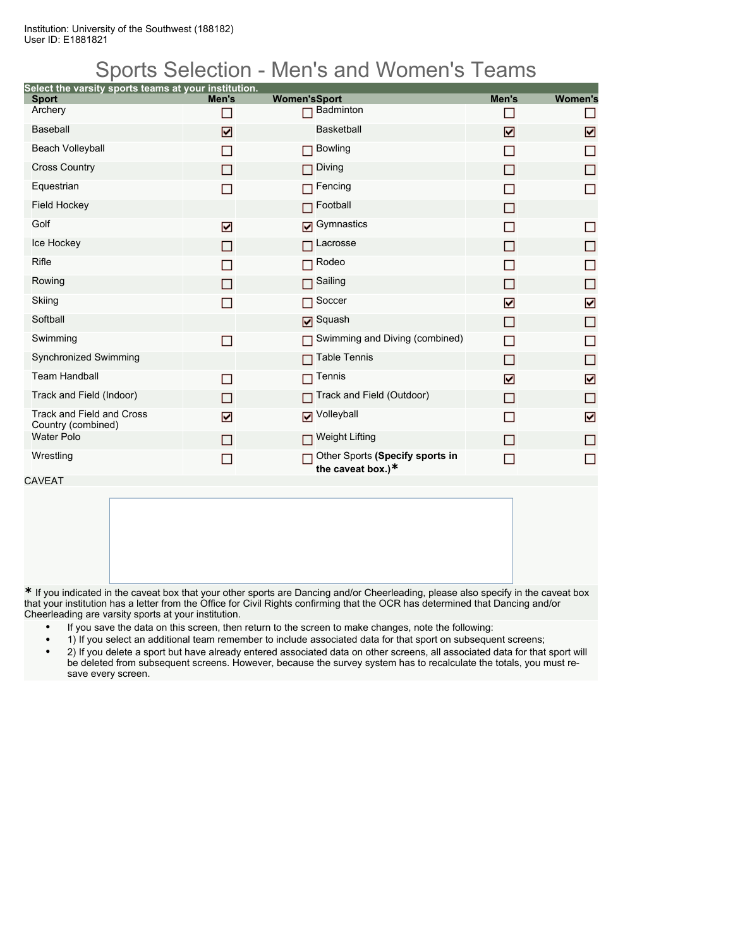Institution: University of the Southwest (188182) User ID: E1881821

### Sports Selection - Men's and Women's Teams

| Select the varsity sports teams at your institution. |                |                                                         |       |                |
|------------------------------------------------------|----------------|---------------------------------------------------------|-------|----------------|
| <b>Sport</b>                                         | Men's          | <b>Women'sSport</b>                                     | Men's | <b>Women's</b> |
| Archery                                              | n.             | <b>Badminton</b>                                        |       | П              |
| <b>Baseball</b>                                      | ☑              | <b>Basketball</b>                                       | ☑     | ☑              |
| Beach Volleyball                                     | <b>Talent</b>  | <b>Bowling</b>                                          | n     | П              |
| <b>Cross Country</b>                                 | ΙI             | Diving                                                  |       | П              |
| Equestrian                                           | П              | Fencing                                                 |       | $\Box$         |
| <b>Field Hockey</b>                                  |                | Football                                                | П     |                |
| Golf                                                 | ☑              | <b>D</b> Gymnastics                                     |       | П              |
| Ice Hockey                                           | П              | Lacrosse                                                | П     | □              |
| Rifle                                                |                | Rodeo                                                   |       | П              |
| Rowing                                               | m.             | Sailing                                                 | П     | □              |
| Skiing                                               | ▛              | Soccer                                                  | ☑     | ☑              |
| Softball                                             |                | Squash                                                  | П     | $\Box$         |
| Swimming                                             | $\Box$         | Swimming and Diving (combined)                          | П     | $\Box$         |
| Synchronized Swimming                                |                | <b>Table Tennis</b>                                     | П     | □              |
| <b>Team Handball</b>                                 | П              | Tennis                                                  | ☑     | ☑              |
| Track and Field (Indoor)                             | П              | Track and Field (Outdoor)                               | П     | $\Box$         |
| Track and Field and Cross<br>Country (combined)      | ☑              | Volleyball                                              | П     | ☑              |
| <b>Water Polo</b>                                    | П              | <b>□ Weight Lifting</b>                                 | П     | П              |
| Wrestling                                            | $\blacksquare$ | Other Sports (Specify sports in<br>the caveat box.) $*$ | ×.    | П              |

CAVEAT

**\*** If you indicated in the caveat box that your other sports are Dancing and/or Cheerleading, please also specify in the caveat box that your institution has a letter from the Office for Civil Rights confirming that the OCR has determined that Dancing and/or Cheerleading are varsity sports at your institution.

- If you save the data on this screen, then return to the screen to make changes, note the following:
- 1) If you select an additional team remember to include associated data for that sport on subsequent screens;
- 2) If you delete a sport but have already entered associated data on other screens, all associated data for that sport will be deleted from subsequent screens. However, because the survey system has to recalculate the totals, you must resave every screen.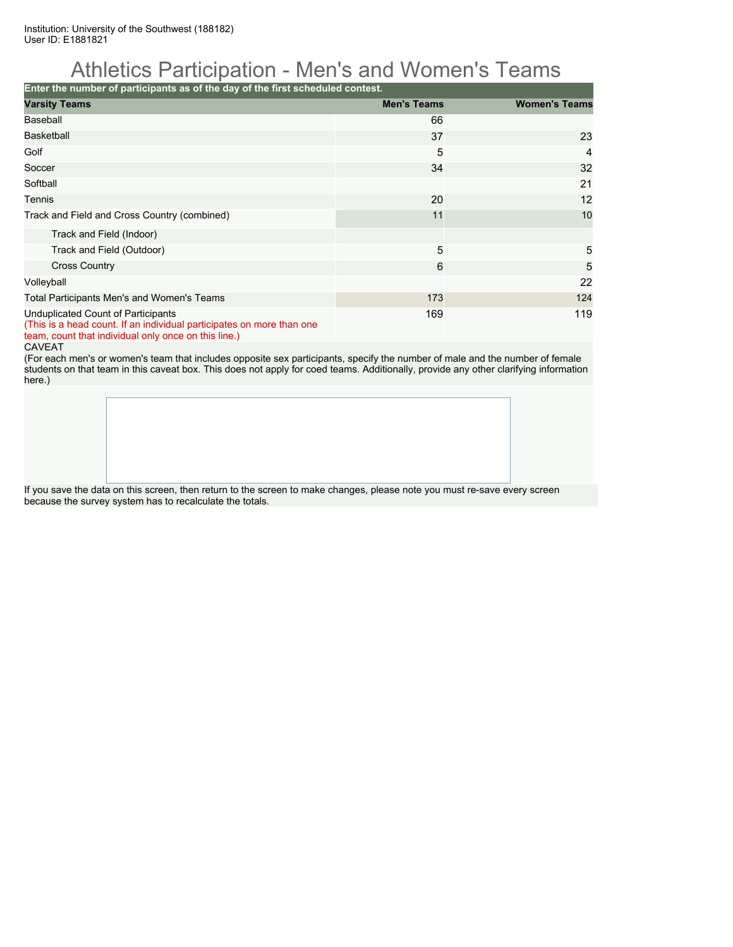Institution: University of the Southwest (188182) User ID: E1881821

## Athletics Participation - Men's and Women's Teams

**Enter the number of participants as of the day of the first scheduled contest.**

| <b>Varsity Teams</b>                                                                                                                                                | <b>Men's Teams</b> | <b>Women's Teams</b> |  |  |  |  |  |
|---------------------------------------------------------------------------------------------------------------------------------------------------------------------|--------------------|----------------------|--|--|--|--|--|
| Baseball                                                                                                                                                            | 66                 |                      |  |  |  |  |  |
| <b>Basketball</b>                                                                                                                                                   | 37                 | 23                   |  |  |  |  |  |
| Golf                                                                                                                                                                | 5                  | $\overline{4}$       |  |  |  |  |  |
| Soccer                                                                                                                                                              | 34                 | 32                   |  |  |  |  |  |
| Softball                                                                                                                                                            |                    | 21                   |  |  |  |  |  |
| Tennis                                                                                                                                                              | 20                 | 12                   |  |  |  |  |  |
| Track and Field and Cross Country (combined)                                                                                                                        | 11                 | 10                   |  |  |  |  |  |
| Track and Field (Indoor)                                                                                                                                            |                    |                      |  |  |  |  |  |
| Track and Field (Outdoor)                                                                                                                                           | 5                  | 5                    |  |  |  |  |  |
| <b>Cross Country</b>                                                                                                                                                | 6                  | 5                    |  |  |  |  |  |
| Volleyball                                                                                                                                                          |                    | 22                   |  |  |  |  |  |
| Total Participants Men's and Women's Teams                                                                                                                          | 173                | 124                  |  |  |  |  |  |
| Unduplicated Count of Participants<br>(This is a head count. If an individual participates on more than one<br>team, count that individual only once on this line.) | 169                | 119                  |  |  |  |  |  |

#### CAVEAT

(For each men's or women's team that includes opposite sex participants, specify the number of male and the number of female students on that team in this caveat box. This does not apply for coed teams. Additionally, provide any other clarifying information here.)

If you save the data on this screen, then return to the screen to make changes, please note you must re-save every screen because the survey system has to recalculate the totals.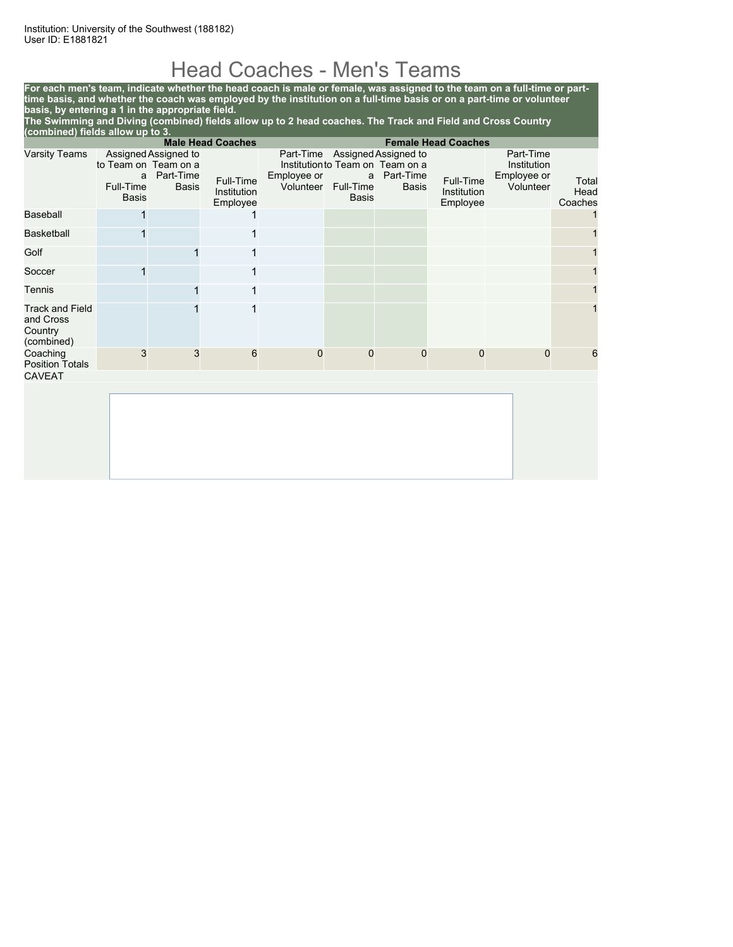## Head Coaches - Men's Teams

**For each men's team, indicate whether the head coach is male or female, was assigned to the team on a full-time or parttime basis, and whether the coach was employed by the institution on a full-time basis or on a part-time or volunteer basis, by entering a 1 in the appropriate field.**

**The Swimming and Diving (combined) fields allow up to 2 head coaches. The Track and Field and Cross Country (combined) fields allow up to 3.**

|                                                              |                                                        |                                                   | <b>Male Head Coaches</b>             | <b>Female Head Coaches</b> |                                |                                                                                                 |                                      |                                                      |                          |
|--------------------------------------------------------------|--------------------------------------------------------|---------------------------------------------------|--------------------------------------|----------------------------|--------------------------------|-------------------------------------------------------------------------------------------------|--------------------------------------|------------------------------------------------------|--------------------------|
| <b>Varsity Teams</b>                                         | to Team on Team on a<br>a<br>Full-Time<br><b>Basis</b> | Assigned Assigned to<br>Part-Time<br><b>Basis</b> | Full-Time<br>Institution<br>Employee | Employee or<br>Volunteer   | a<br>Full-Time<br><b>Basis</b> | Part-Time Assigned Assigned to<br>Institution to Team on Team on a<br>Part-Time<br><b>Basis</b> | Full-Time<br>Institution<br>Employee | Part-Time<br>Institution<br>Employee or<br>Volunteer | Total<br>Head<br>Coaches |
| Baseball                                                     |                                                        |                                                   |                                      |                            |                                |                                                                                                 |                                      |                                                      |                          |
| <b>Basketball</b>                                            |                                                        |                                                   | 1                                    |                            |                                |                                                                                                 |                                      |                                                      |                          |
| Golf                                                         |                                                        |                                                   | 1                                    |                            |                                |                                                                                                 |                                      |                                                      |                          |
| Soccer                                                       |                                                        |                                                   | 1                                    |                            |                                |                                                                                                 |                                      |                                                      |                          |
| Tennis                                                       |                                                        |                                                   | 1                                    |                            |                                |                                                                                                 |                                      |                                                      |                          |
| <b>Track and Field</b><br>and Cross<br>Country<br>(combined) |                                                        |                                                   | 1                                    |                            |                                |                                                                                                 |                                      |                                                      |                          |
| Coaching<br><b>Position Totals</b>                           | 3                                                      | 3                                                 | 6                                    | $\mathbf 0$                | $\mathbf 0$                    | 0                                                                                               | $\mathbf 0$                          | $\mathbf 0$                                          | 6                        |
| <b>CAVEAT</b>                                                |                                                        |                                                   |                                      |                            |                                |                                                                                                 |                                      |                                                      |                          |
|                                                              |                                                        |                                                   |                                      |                            |                                |                                                                                                 |                                      |                                                      |                          |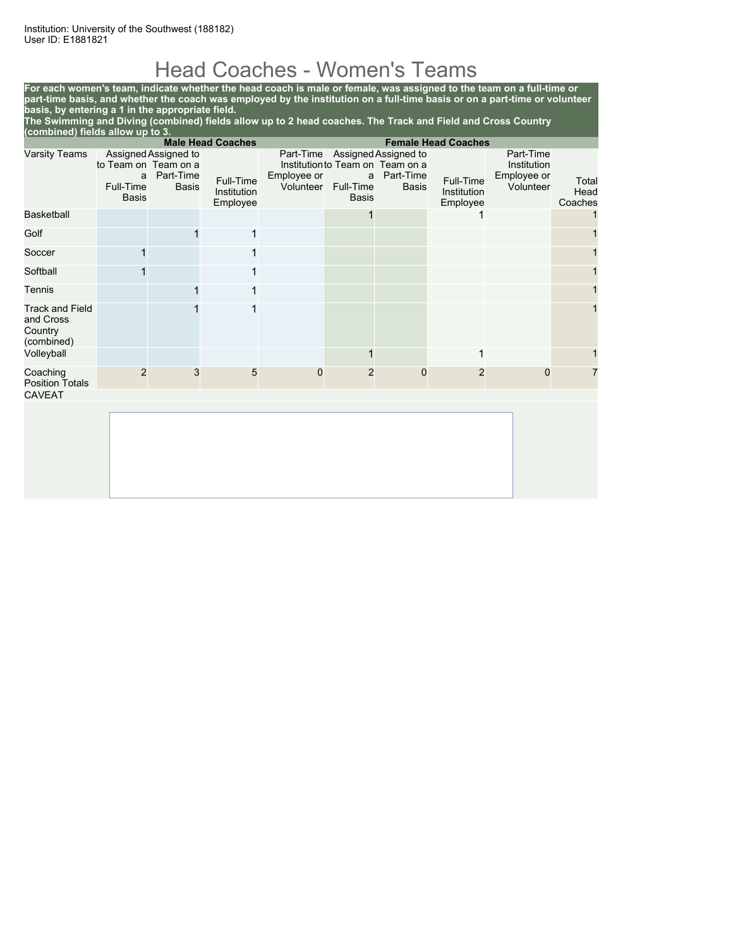# Head Coaches - Women's Teams

**For each women's team, indicate whether the head coach is male or female, was assigned to the team on a full-time or part-time basis, and whether the coach was employed by the institution on a full-time basis or on a part-time or volunteer basis, by entering a 1 in the appropriate field.**

**The Swimming and Diving (combined) fields allow up to 2 head coaches. The Track and Field and Cross Country (combined) fields allow up to 3.**

|                                                              |                                                        |                                                   | <b>Male Head Coaches</b>             |                          |                                |                                                                                                 | <b>Female Head Coaches</b>           |                                                      |                          |
|--------------------------------------------------------------|--------------------------------------------------------|---------------------------------------------------|--------------------------------------|--------------------------|--------------------------------|-------------------------------------------------------------------------------------------------|--------------------------------------|------------------------------------------------------|--------------------------|
| <b>Varsity Teams</b>                                         | to Team on Team on a<br>a<br>Full-Time<br><b>Basis</b> | Assigned Assigned to<br>Part-Time<br><b>Basis</b> | Full-Time<br>Institution<br>Employee | Employee or<br>Volunteer | a<br>Full-Time<br><b>Basis</b> | Part-Time Assigned Assigned to<br>Institution to Team on Team on a<br>Part-Time<br><b>Basis</b> | Full-Time<br>Institution<br>Employee | Part-Time<br>Institution<br>Employee or<br>Volunteer | Total<br>Head<br>Coaches |
| <b>Basketball</b>                                            |                                                        |                                                   |                                      |                          |                                |                                                                                                 |                                      |                                                      |                          |
| Golf                                                         |                                                        |                                                   | 1                                    |                          |                                |                                                                                                 |                                      |                                                      |                          |
| Soccer                                                       |                                                        |                                                   | 1                                    |                          |                                |                                                                                                 |                                      |                                                      |                          |
| Softball                                                     |                                                        |                                                   | 1                                    |                          |                                |                                                                                                 |                                      |                                                      |                          |
| Tennis                                                       |                                                        |                                                   | 1                                    |                          |                                |                                                                                                 |                                      |                                                      |                          |
| <b>Track and Field</b><br>and Cross<br>Country<br>(combined) |                                                        |                                                   |                                      |                          |                                |                                                                                                 |                                      |                                                      |                          |
| Volleyball                                                   |                                                        |                                                   |                                      |                          |                                |                                                                                                 | 1                                    |                                                      |                          |
| Coaching<br><b>Position Totals</b>                           | $\overline{2}$                                         | 3                                                 | 5                                    | $\mathbf 0$              | $\overline{2}$                 | $\mathbf 0$                                                                                     | $\overline{2}$                       | $\mathbf 0$                                          |                          |
| <b>CAVEAT</b>                                                |                                                        |                                                   |                                      |                          |                                |                                                                                                 |                                      |                                                      |                          |
|                                                              |                                                        |                                                   |                                      |                          |                                |                                                                                                 |                                      |                                                      |                          |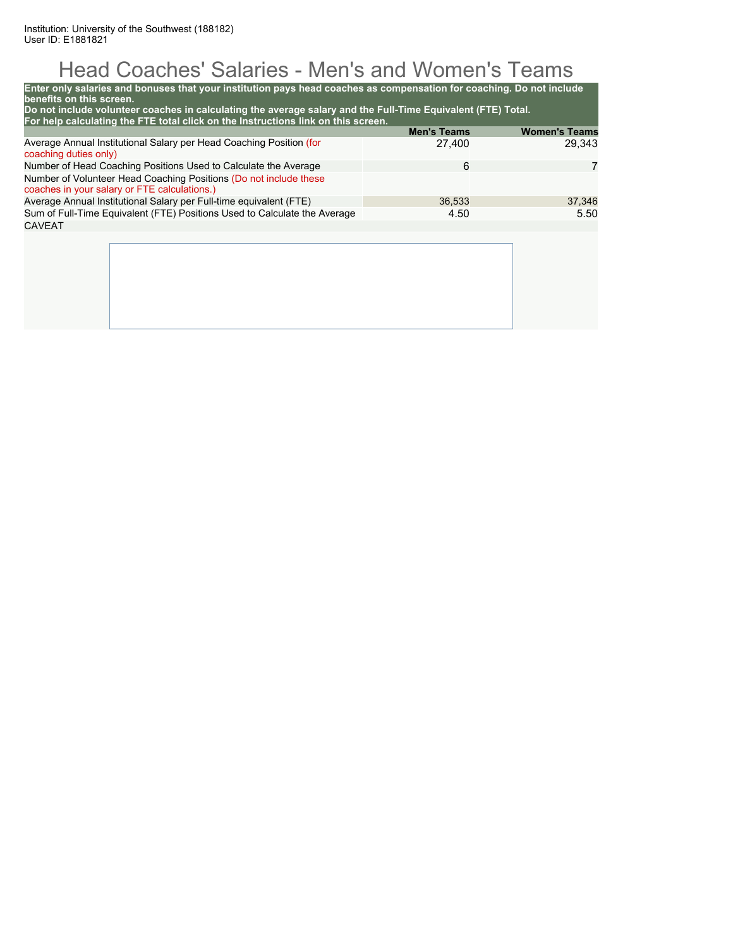# Head Coaches' Salaries - Men's and Women's Teams

| Enter only salaries and bonuses that your institution pays head coaches as compensation for coaching. Do not include<br>benefits on this screen.<br>Do not include volunteer coaches in calculating the average salary and the Full-Time Equivalent (FTE) Total. |                              |                                |
|------------------------------------------------------------------------------------------------------------------------------------------------------------------------------------------------------------------------------------------------------------------|------------------------------|--------------------------------|
| For help calculating the FTE total click on the Instructions link on this screen.                                                                                                                                                                                |                              |                                |
| Average Annual Institutional Salary per Head Coaching Position (for<br>coaching duties only)                                                                                                                                                                     | <b>Men's Teams</b><br>27,400 | <b>Women's Teams</b><br>29.343 |
| Number of Head Coaching Positions Used to Calculate the Average                                                                                                                                                                                                  | 6                            | 7                              |
| Number of Volunteer Head Coaching Positions (Do not include these<br>coaches in your salary or FTE calculations.)                                                                                                                                                |                              |                                |
| Average Annual Institutional Salary per Full-time equivalent (FTE)                                                                                                                                                                                               | 36.533                       | 37,346                         |
| Sum of Full-Time Equivalent (FTE) Positions Used to Calculate the Average                                                                                                                                                                                        | 4.50                         | 5.50                           |
| <b>CAVEAT</b>                                                                                                                                                                                                                                                    |                              |                                |
|                                                                                                                                                                                                                                                                  |                              |                                |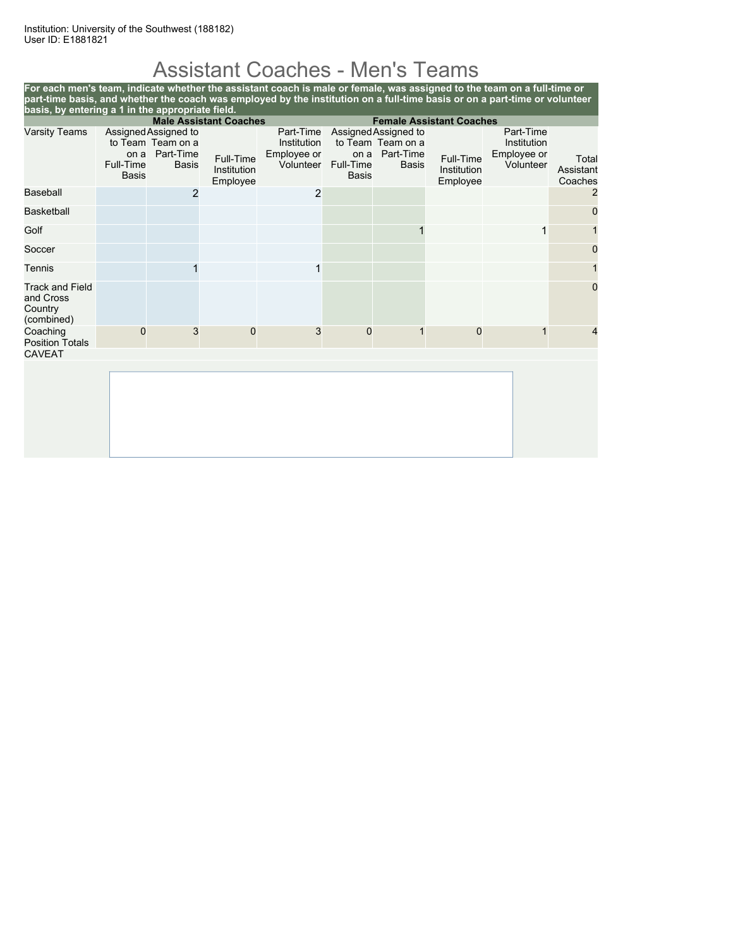# Assistant Coaches - Men's Teams

**For each men's team, indicate whether the assistant coach is male or female, was assigned to the team on a full-time or part-time basis, and whether the coach was employed by the institution on a full-time basis or on a part-time or volunteer basis, by entering a 1 in the appropriate field. Male Assistant Coaches Female Assistant Coaches** Varsity Teams to Team Team on a on a Part-Time Full-Time Basis Assigned Assigned to Full-Time<br>Basis Institution Institution Employee Part-Time Assigned Assigned to Institution Employee or Volunteer to Team Team on a on a Part-Time Full-Time Basis <sup>t-Time</sup> Full-Time<br>Basis Institution Institution Employee Part-Time Institution Employee or Total<br>Volunteer Assistant Assistant Coaches Baseball 2 2 2 Basketball 0 Golf 1 1 1 Soccer in the control of the control of the control of the control of the control of the control of the control o Tennis (1989) 1990 - 1991 - 1992 1993 - 1994 - 1995 - 1996 - 1997 - 1998 - 1999 - 1999 - 1999 - 1999 - 1999 - 1 Track and Field and Cross **Country** (combined) 0 **Coaching** Position Totals 0 3 0 3 0 1 0 1 4 CAVEAT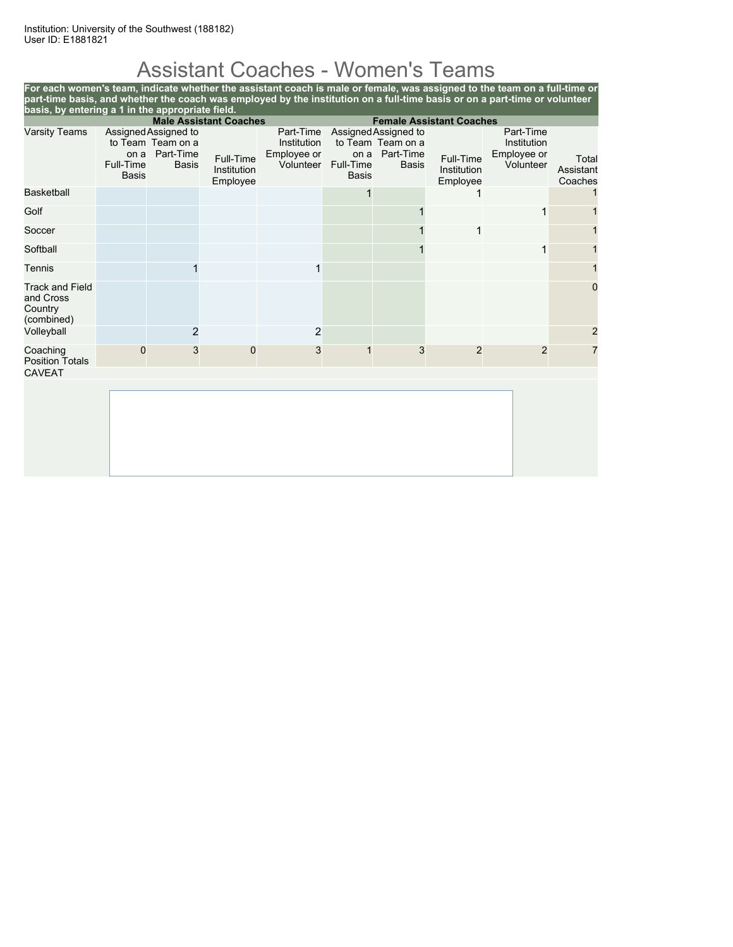# Assistant Coaches - Women's Teams

**For each women's team, indicate whether the assistant coach is male or female, was assigned to the team on a full-time or part-time basis, and whether the coach was employed by the institution on a full-time basis or on a part-time or volunteer basis, by entering a 1 in the appropriate field.**

|                                                              | <b>Male Assistant Coaches</b>     |                                                                        |                                      |                                                      | <b>Female Assistant Coaches</b> |                                                                        |                                      |                                                      |                               |
|--------------------------------------------------------------|-----------------------------------|------------------------------------------------------------------------|--------------------------------------|------------------------------------------------------|---------------------------------|------------------------------------------------------------------------|--------------------------------------|------------------------------------------------------|-------------------------------|
| <b>Varsity Teams</b>                                         | on a<br>Full-Time<br><b>Basis</b> | Assigned Assigned to<br>to Team Team on a<br>Part-Time<br><b>Basis</b> | Full-Time<br>Institution<br>Employee | Part-Time<br>Institution<br>Employee or<br>Volunteer | on a<br>Full-Time<br>Basis      | Assigned Assigned to<br>to Team Team on a<br>Part-Time<br><b>Basis</b> | Full-Time<br>Institution<br>Employee | Part-Time<br>Institution<br>Employee or<br>Volunteer | Total<br>Assistant<br>Coaches |
| <b>Basketball</b>                                            |                                   |                                                                        |                                      |                                                      |                                 |                                                                        |                                      |                                                      |                               |
| Golf                                                         |                                   |                                                                        |                                      |                                                      |                                 |                                                                        |                                      | 1                                                    |                               |
| Soccer                                                       |                                   |                                                                        |                                      |                                                      |                                 |                                                                        |                                      |                                                      |                               |
| Softball                                                     |                                   |                                                                        |                                      |                                                      |                                 |                                                                        |                                      | 1                                                    |                               |
| Tennis                                                       |                                   |                                                                        |                                      |                                                      |                                 |                                                                        |                                      |                                                      |                               |
| <b>Track and Field</b><br>and Cross<br>Country<br>(combined) |                                   |                                                                        |                                      |                                                      |                                 |                                                                        |                                      |                                                      | $\mathbf 0$                   |
| Volleyball                                                   |                                   | $\overline{2}$                                                         |                                      | $\overline{c}$                                       |                                 |                                                                        |                                      |                                                      | $\overline{c}$                |
| Coaching<br><b>Position Totals</b><br><b>CAVEAT</b>          | $\Omega$                          | 3                                                                      | $\mathbf 0$                          | 3                                                    |                                 | 3                                                                      | $\overline{2}$                       | $\overline{2}$                                       | 7                             |
|                                                              |                                   |                                                                        |                                      |                                                      |                                 |                                                                        |                                      |                                                      |                               |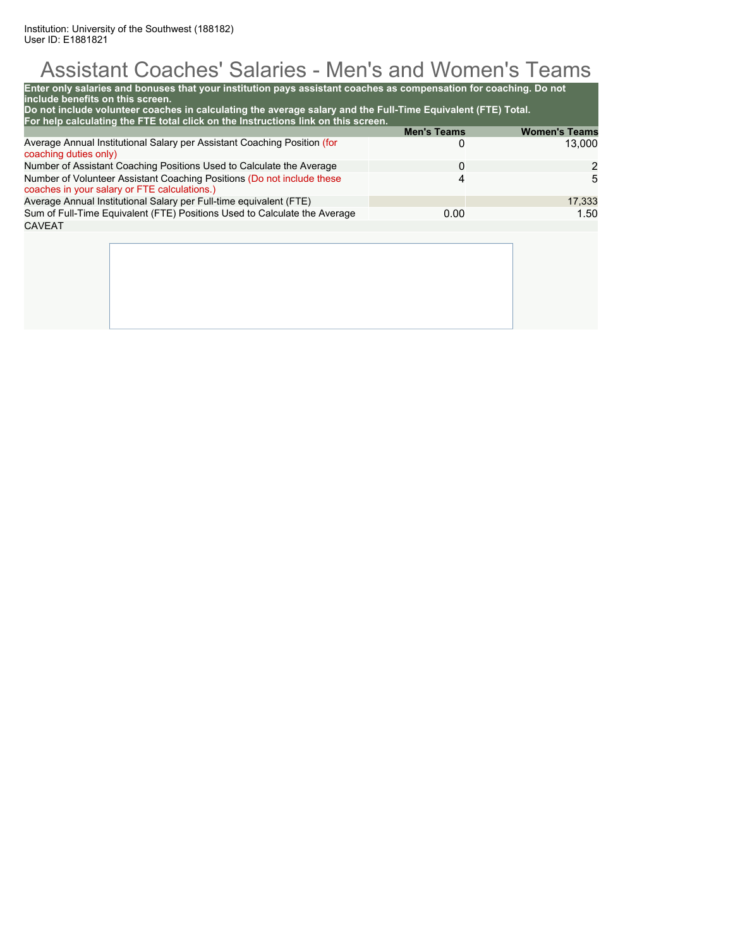# Assistant Coaches' Salaries - Men's and Women's Teams

| include benefits on this screen.<br>Do not include volunteer coaches in calculating the average salary and the Full-Time Equivalent (FTE) Total.<br>For help calculating the FTE total click on the Instructions link on this screen. | <b>Men's Teams</b> | <b>Women's Teams</b> |
|---------------------------------------------------------------------------------------------------------------------------------------------------------------------------------------------------------------------------------------|--------------------|----------------------|
| Average Annual Institutional Salary per Assistant Coaching Position (for<br>coaching duties only)                                                                                                                                     | 0                  | 13,000               |
| Number of Assistant Coaching Positions Used to Calculate the Average                                                                                                                                                                  | $\Omega$           | 2                    |
| Number of Volunteer Assistant Coaching Positions (Do not include these<br>coaches in your salary or FTE calculations.)                                                                                                                | 4                  | 5                    |
| Average Annual Institutional Salary per Full-time equivalent (FTE)                                                                                                                                                                    |                    | 17.333               |
| Sum of Full-Time Equivalent (FTE) Positions Used to Calculate the Average                                                                                                                                                             | 0.00               | 1.50                 |
| <b>CAVEAT</b>                                                                                                                                                                                                                         |                    |                      |
|                                                                                                                                                                                                                                       |                    |                      |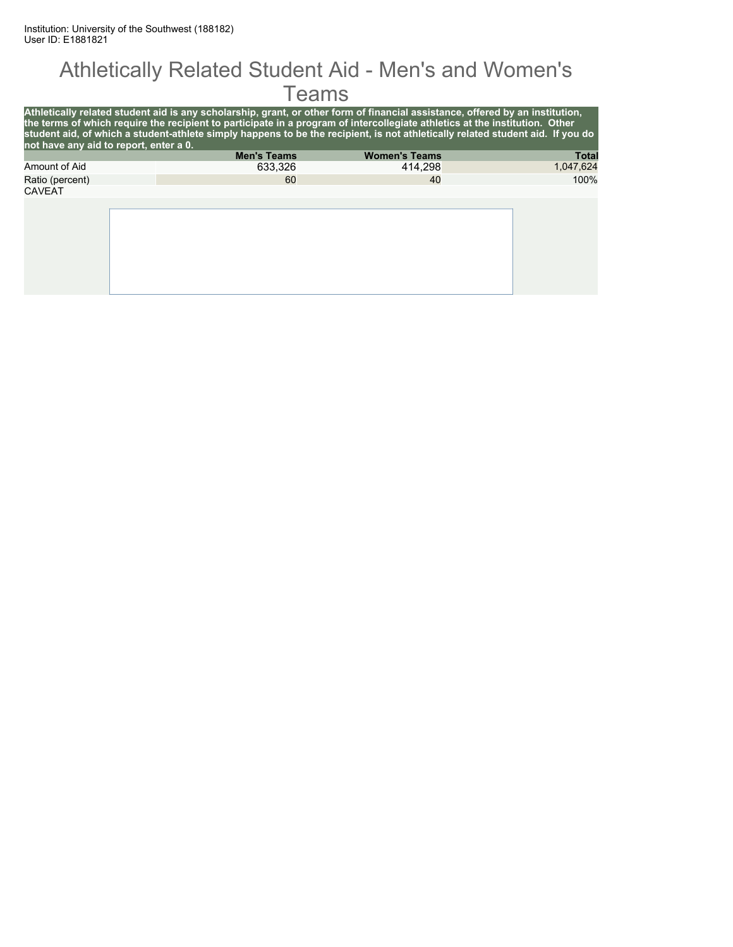#### Athletically Related Student Aid - Men's and Women's **Teams**

| Athletically related student aid is any scholarship, grant, or other form of financial assistance, offered by an institution,<br>the terms of which require the recipient to participate in a program of intercollegiate athletics at the institution. Other<br>student aid, of which a student-athlete simply happens to be the recipient, is not athletically related student aid. If you do |
|------------------------------------------------------------------------------------------------------------------------------------------------------------------------------------------------------------------------------------------------------------------------------------------------------------------------------------------------------------------------------------------------|
|                                                                                                                                                                                                                                                                                                                                                                                                |
| <b>Total</b>                                                                                                                                                                                                                                                                                                                                                                                   |
| 1,047,624                                                                                                                                                                                                                                                                                                                                                                                      |
| 100%                                                                                                                                                                                                                                                                                                                                                                                           |
|                                                                                                                                                                                                                                                                                                                                                                                                |
|                                                                                                                                                                                                                                                                                                                                                                                                |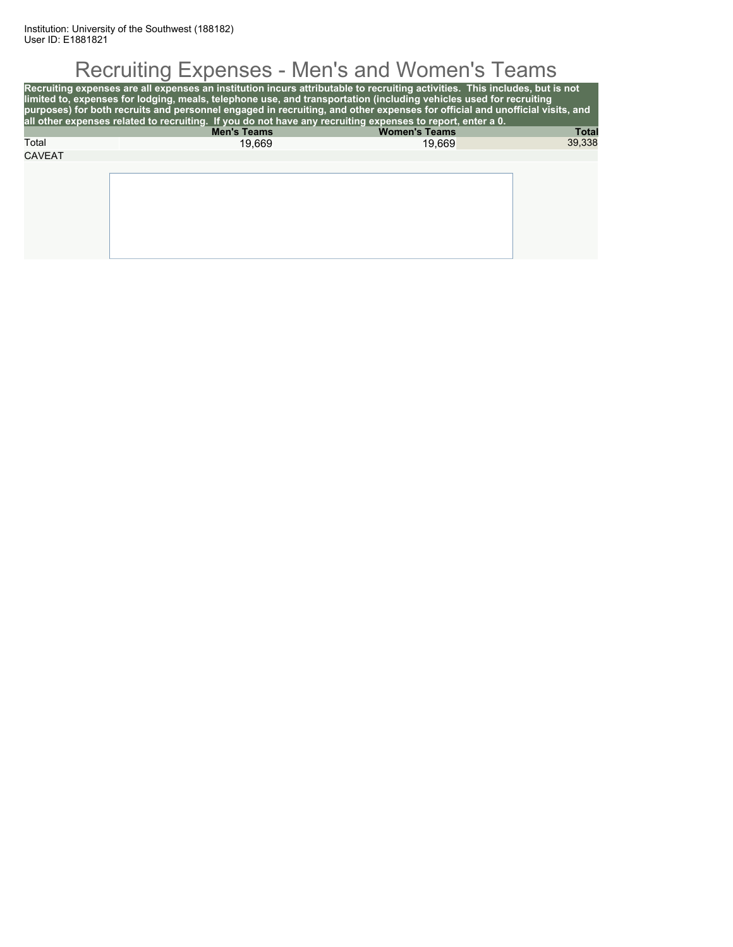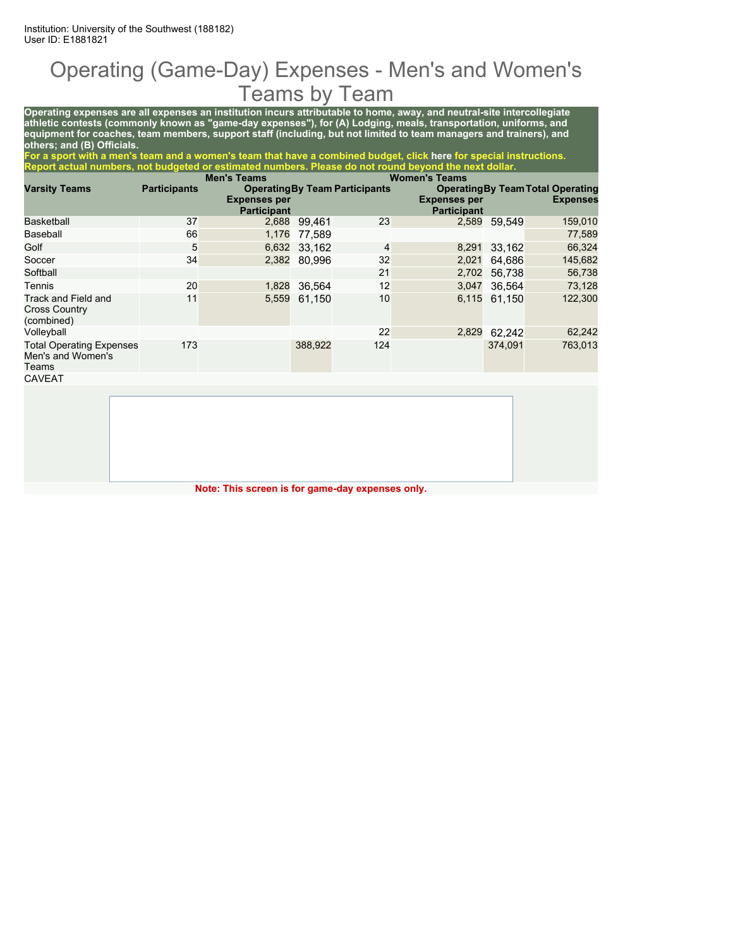#### Operating (Game-Day) Expenses - Men's and Women's Teams by Team

**Operating expenses are all expenses an institution incurs attributable to home, away, and neutral-site intercollegiate athletic contests (commonly known as "game-day expenses"), for (A) Lodging, meals, transportation, uniforms, and equipment for coaches, team members, support staff (including, but not limited to team managers and trainers), and others; and (B) Officials.**

**For a sport with a men's team and a women's team that have a combined budget, click here for special instructions. Report actual numbers, not budgeted or estimated numbers. Please do not round beyond the next dollar.**

|                                                               |                     | <b>Men's Teams</b>                        |         |                                       | <b>Women's Teams</b>                      |         |                                                             |
|---------------------------------------------------------------|---------------------|-------------------------------------------|---------|---------------------------------------|-------------------------------------------|---------|-------------------------------------------------------------|
| <b>Varsity Teams</b>                                          | <b>Participants</b> | <b>Expenses per</b><br><b>Participant</b> |         | <b>Operating By Team Participants</b> | <b>Expenses per</b><br><b>Participant</b> |         | <b>Operating By Team Total Operating</b><br><b>Expenses</b> |
| <b>Basketball</b>                                             | 37                  | 2,688                                     | 99,461  | 23                                    | 2,589                                     | 59,549  | 159,010                                                     |
| Baseball                                                      | 66                  | 1,176                                     | 77,589  |                                       |                                           |         | 77,589                                                      |
| Golf                                                          | 5                   | 6,632                                     | 33.162  | 4                                     | 8,291                                     | 33,162  | 66,324                                                      |
| Soccer                                                        | 34                  | 2,382                                     | 80.996  | 32                                    | 2,021                                     | 64.686  | 145,682                                                     |
| Softball                                                      |                     |                                           |         | 21                                    | 2,702                                     | 56.738  | 56,738                                                      |
| Tennis                                                        | 20                  | 1,828                                     | 36,564  | 12                                    | 3,047                                     | 36.564  | 73,128                                                      |
| Track and Field and<br><b>Cross Country</b><br>(combined)     | 11                  | 5,559                                     | 61.150  | 10                                    | 6,115                                     | 61.150  | 122,300                                                     |
| Volleyball                                                    |                     |                                           |         | 22                                    | 2,829                                     | 62,242  | 62,242                                                      |
| <b>Total Operating Expenses</b><br>Men's and Women's<br>Teams | 173                 |                                           | 388,922 | 124                                   |                                           | 374,091 | 763,013                                                     |
| <b>CAVEAT</b>                                                 |                     |                                           |         |                                       |                                           |         |                                                             |
|                                                               |                     |                                           |         |                                       |                                           |         |                                                             |

**Note: This screen is for game-day expenses only.**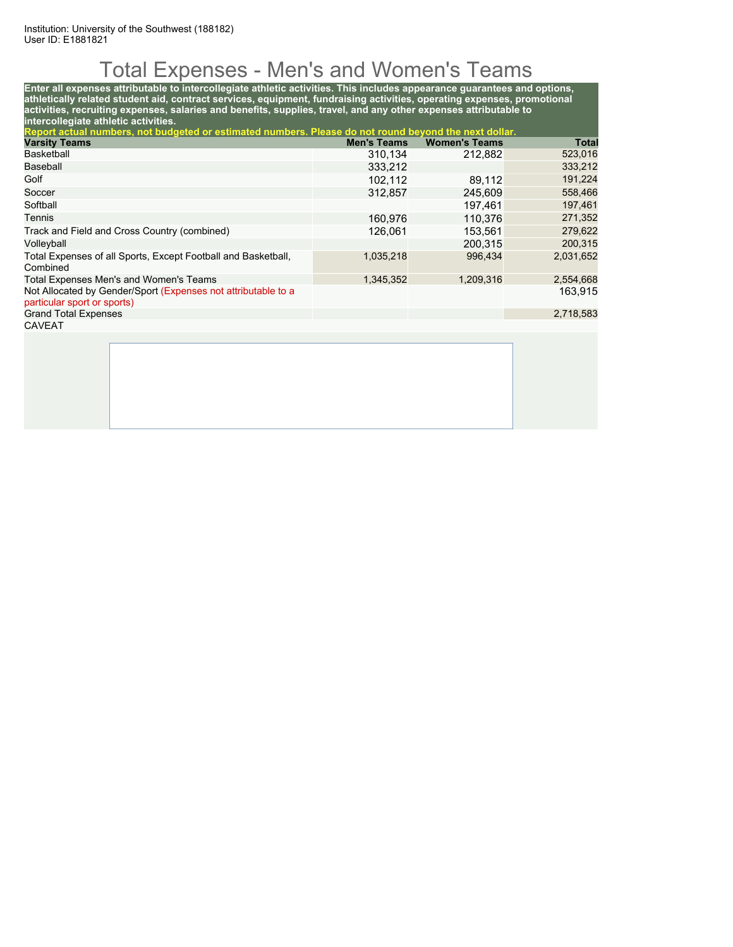# Total Expenses - Men's and Women's Teams

**Enter all expenses attributable to intercollegiate athletic activities. This includes appearance guarantees and options, athletically related student aid, contract services, equipment, fundraising activities, operating expenses, promotional activities, recruiting expenses, salaries and benefits, supplies, travel, and any other expenses attributable to intercollegiate athletic activities.**

| Report actual numbers, not budgeted or estimated numbers. Please do not round beyond the next dollar. |                    |                      |              |  |  |  |  |  |
|-------------------------------------------------------------------------------------------------------|--------------------|----------------------|--------------|--|--|--|--|--|
| <b>Varsity Teams</b>                                                                                  | <b>Men's Teams</b> | <b>Women's Teams</b> | <b>Total</b> |  |  |  |  |  |
| Basketball                                                                                            | 310,134            | 212,882              | 523,016      |  |  |  |  |  |
| Baseball                                                                                              | 333,212            |                      | 333,212      |  |  |  |  |  |
| Golf                                                                                                  | 102.112            | 89.112               | 191,224      |  |  |  |  |  |
| Soccer                                                                                                | 312.857            | 245.609              | 558,466      |  |  |  |  |  |
| Softball                                                                                              |                    | 197.461              | 197,461      |  |  |  |  |  |
| Tennis                                                                                                | 160.976            | 110.376              | 271,352      |  |  |  |  |  |
| Track and Field and Cross Country (combined)                                                          | 126.061            | 153,561              | 279,622      |  |  |  |  |  |
| Volleyball                                                                                            |                    | 200.315              | 200,315      |  |  |  |  |  |
| Total Expenses of all Sports, Except Football and Basketball,<br>Combined                             | 1,035,218          | 996.434              | 2,031,652    |  |  |  |  |  |
| Total Expenses Men's and Women's Teams                                                                | 1.345.352          | 1.209.316            | 2,554,668    |  |  |  |  |  |
| Not Allocated by Gender/Sport (Expenses not attributable to a<br>particular sport or sports)          |                    |                      | 163.915      |  |  |  |  |  |
| <b>Grand Total Expenses</b>                                                                           |                    |                      | 2,718,583    |  |  |  |  |  |
| <b>CAVEAT</b>                                                                                         |                    |                      |              |  |  |  |  |  |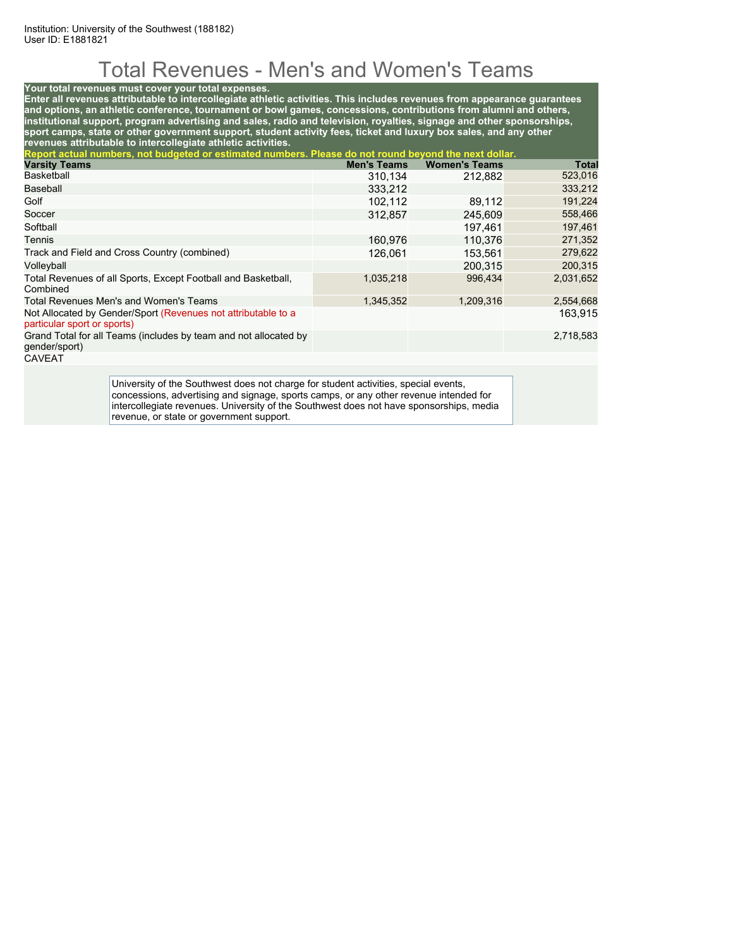# Total Revenues - Men's and Women's Teams

#### **Your total revenues must cover your total expenses.**

**Enter all revenues attributable to intercollegiate athletic activities. This includes revenues from appearance guarantees and options, an athletic conference, tournament or bowl games, concessions, contributions from alumni and others, institutional support, program advertising and sales, radio and television, royalties, signage and other sponsorships, sport camps, state or other government support, student activity fees, ticket and luxury box sales, and any other revenues attributable to intercollegiate athletic activities.**

| Report actual numbers, not budgeted or estimated numbers. Please do not round beyond the next dollar. |                    |                      |           |  |  |  |  |  |
|-------------------------------------------------------------------------------------------------------|--------------------|----------------------|-----------|--|--|--|--|--|
| <b>Varsity Teams</b>                                                                                  | <b>Men's Teams</b> | <b>Women's Teams</b> | Total     |  |  |  |  |  |
| Basketball                                                                                            | 310,134            | 212,882              | 523,016   |  |  |  |  |  |
| Baseball                                                                                              | 333.212            |                      | 333,212   |  |  |  |  |  |
| Golf                                                                                                  | 102.112            | 89.112               | 191,224   |  |  |  |  |  |
| Soccer                                                                                                | 312,857            | 245,609              | 558,466   |  |  |  |  |  |
| Softball                                                                                              |                    | 197.461              | 197,461   |  |  |  |  |  |
| Tennis                                                                                                | 160.976            | 110.376              | 271,352   |  |  |  |  |  |
| Track and Field and Cross Country (combined)                                                          | 126.061            | 153.561              | 279,622   |  |  |  |  |  |
| Volleyball                                                                                            |                    | 200.315              | 200,315   |  |  |  |  |  |
| Total Revenues of all Sports, Except Football and Basketball,<br>Combined                             | 1,035,218          | 996.434              | 2,031,652 |  |  |  |  |  |
| Total Revenues Men's and Women's Teams                                                                | 1,345,352          | 1,209,316            | 2,554,668 |  |  |  |  |  |
| Not Allocated by Gender/Sport (Revenues not attributable to a<br>particular sport or sports)          |                    |                      | 163.915   |  |  |  |  |  |
| Grand Total for all Teams (includes by team and not allocated by<br>gender/sport)                     |                    |                      | 2,718,583 |  |  |  |  |  |
| CAYETAT                                                                                               |                    |                      |           |  |  |  |  |  |

CAVEAT

University of the Southwest does not charge for student activities, special events, concessions, advertising and signage, sports camps, or any other revenue intended for intercollegiate revenues. University of the Southwest does not have sponsorships, media revenue, or state or government support.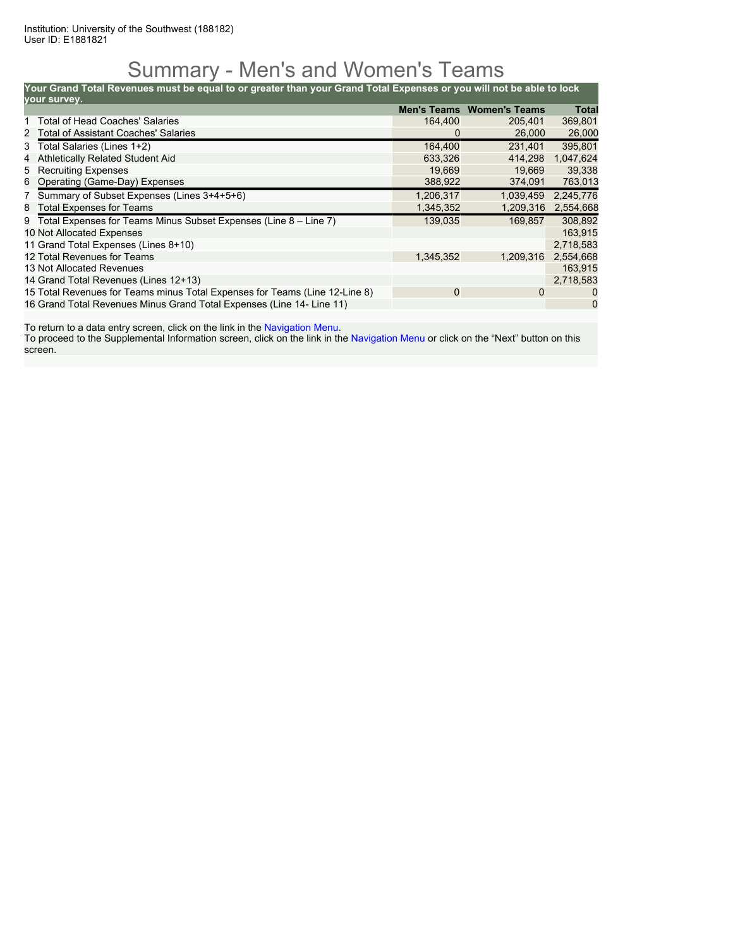#### Summary - Men's and Women's Teams

**Your Grand Total Revenues must be equal to or greater than your Grand Total Expenses or you will not be able to lock**

| vour survey.                                                                |             |                                  |              |
|-----------------------------------------------------------------------------|-------------|----------------------------------|--------------|
|                                                                             |             | <b>Men's Teams Women's Teams</b> | <b>Total</b> |
| Total of Head Coaches' Salaries                                             | 164.400     | 205.401                          | 369,801      |
| 2 Total of Assistant Coaches' Salaries                                      | 0           | 26,000                           | 26,000       |
| 3 Total Salaries (Lines 1+2)                                                | 164,400     | 231.401                          | 395,801      |
| Athletically Related Student Aid<br>4                                       | 633.326     | 414.298                          | 1,047,624    |
| 5 Recruiting Expenses                                                       | 19.669      | 19.669                           | 39,338       |
| 6 Operating (Game-Day) Expenses                                             | 388,922     | 374,091                          | 763,013      |
| 7 Summary of Subset Expenses (Lines 3+4+5+6)                                | 1,206,317   | 1.039.459                        | 2,245,776    |
| 8 Total Expenses for Teams                                                  | 1,345,352   | 1,209,316                        | 2,554,668    |
| 9 Total Expenses for Teams Minus Subset Expenses (Line 8 – Line 7)          | 139,035     | 169.857                          | 308,892      |
| 10 Not Allocated Expenses                                                   |             |                                  | 163,915      |
| 11 Grand Total Expenses (Lines 8+10)                                        |             |                                  | 2,718,583    |
| 12 Total Revenues for Teams                                                 | 1,345,352   | 1,209,316                        | 2,554,668    |
| 13 Not Allocated Revenues                                                   |             |                                  | 163,915      |
| 14 Grand Total Revenues (Lines 12+13)                                       |             |                                  | 2,718,583    |
| 15 Total Revenues for Teams minus Total Expenses for Teams (Line 12-Line 8) | $\mathbf 0$ | 0                                | 0            |
| 16 Grand Total Revenues Minus Grand Total Expenses (Line 14- Line 11)       |             |                                  | $\mathbf 0$  |

To return to a data entry screen, click on the link in the Navigation Menu.

To proceed to the Supplemental Information screen, click on the link in the Navigation Menu or click on the "Next" button on this screen.